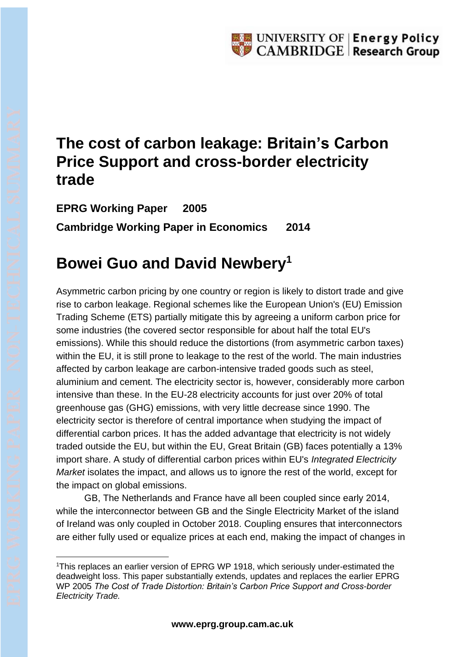## **The cost of carbon leakage: Britain's Carbon Price Support and cross-border electricity trade**

**EPRG Working Paper 2005 Cambridge Working Paper in Economics 2014**

# **Bowei Guo and David Newbery<sup>1</sup>**

Asymmetric carbon pricing by one country or region is likely to distort trade and give rise to carbon leakage. Regional schemes like the European Union's (EU) Emission Trading Scheme (ETS) partially mitigate this by agreeing a uniform carbon price for some industries (the covered sector responsible for about half the total EU's emissions). While this should reduce the distortions (from asymmetric carbon taxes) within the EU, it is still prone to leakage to the rest of the world. The main industries affected by carbon leakage are carbon-intensive traded goods such as steel, aluminium and cement. The electricity sector is, however, considerably more carbon intensive than these. In the EU-28 electricity accounts for just over 20% of total greenhouse gas (GHG) emissions, with very little decrease since 1990. The electricity sector is therefore of central importance when studying the impact of differential carbon prices. It has the added advantage that electricity is not widely traded outside the EU, but within the EU, Great Britain (GB) faces potentially a 13% import share. A study of differential carbon prices within EU's *Integrated Electricity Market* isolates the impact, and allows us to ignore the rest of the world, except for the impact on global emissions.

GB, The Netherlands and France have all been coupled since early 2014, while the interconnector between GB and the Single Electricity Market of the island of Ireland was only coupled in October 2018. Coupling ensures that interconnectors are either fully used or equalize prices at each end, making the impact of changes in

<sup>&</sup>lt;sup>1</sup>This replaces an earlier version of EPRG WP 1918, which seriously under-estimated the deadweight loss. This paper substantially extends, updates and replaces the earlier EPRG WP 2005 *The Cost of Trade Distortion: Britain's Carbon Price Support and Cross-border Electricity Trade.*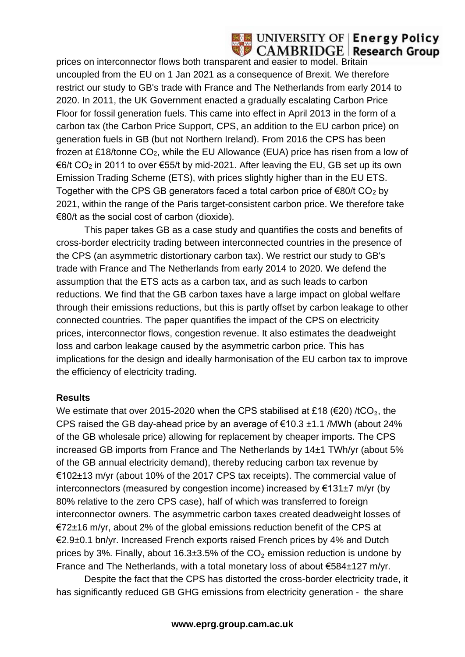#### **UNIVERSITY OF | Energy Policy CAMBRIDGE** Research Group

prices on interconnector flows both transparent and easier to model. Britain uncoupled from the EU on 1 Jan 2021 as a consequence of Brexit. We therefore restrict our study to GB's trade with France and The Netherlands from early 2014 to 2020. In 2011, the UK Government enacted a gradually escalating Carbon Price Floor for fossil generation fuels. This came into effect in April 2013 in the form of a carbon tax (the Carbon Price Support, CPS, an addition to the EU carbon price) on generation fuels in GB (but not Northern Ireland). From 2016 the CPS has been frozen at £18/tonne CO2, while the EU Allowance (EUA) price has risen from a low of €6/t CO<sup>2</sup> in 2011 to over €55/t by mid-2021. After leaving the EU, GB set up its own Emission Trading Scheme (ETS), with prices slightly higher than in the EU ETS. Together with the CPS GB generators faced a total carbon price of  $\epsilon$ 80/t CO<sub>2</sub> by 2021, within the range of the Paris target-consistent carbon price. We therefore take €80/t as the social cost of carbon (dioxide).

This paper takes GB as a case study and quantifies the costs and benefits of cross-border electricity trading between interconnected countries in the presence of the CPS (an asymmetric distortionary carbon tax). We restrict our study to GB's trade with France and The Netherlands from early 2014 to 2020. We defend the assumption that the ETS acts as a carbon tax, and as such leads to carbon reductions. We find that the GB carbon taxes have a large impact on global welfare through their emissions reductions, but this is partly offset by carbon leakage to other connected countries. The paper quantifies the impact of the CPS on electricity prices, interconnector flows, congestion revenue. It also estimates the deadweight loss and carbon leakage caused by the asymmetric carbon price. This has implications for the design and ideally harmonisation of the EU carbon tax to improve the efficiency of electricity trading.

#### **Results**

We estimate that over 2015-2020 when the CPS stabilised at £18 ( $\epsilon$ 20) /tCO<sub>2</sub>, the CPS raised the GB day-ahead price by an average of €10.3  $±1.1$  /MWh (about 24% of the GB wholesale price) allowing for replacement by cheaper imports. The CPS increased GB imports from France and The Netherlands by 14±1 TWh/yr (about 5% of the GB annual electricity demand), thereby reducing carbon tax revenue by €102±13 m/yr (about 10% of the 2017 CPS tax receipts). The commercial value of interconnectors (measured by congestion income) increased by €131±7 m/yr (by 80% relative to the zero CPS case), half of which was transferred to foreign interconnector owners. The asymmetric carbon taxes created deadweight losses of €72±16 m/yr, about 2% of the global emissions reduction benefit of the CPS at €2.9±0.1 bn/yr. Increased French exports raised French prices by 4% and Dutch prices by 3%. Finally, about 16.3 $\pm$ 3.5% of the CO<sub>2</sub> emission reduction is undone by France and The Netherlands, with a total monetary loss of about €584±127 m/yr.

Despite the fact that the CPS has distorted the cross-border electricity trade, it has significantly reduced GB GHG emissions from electricity generation - the share